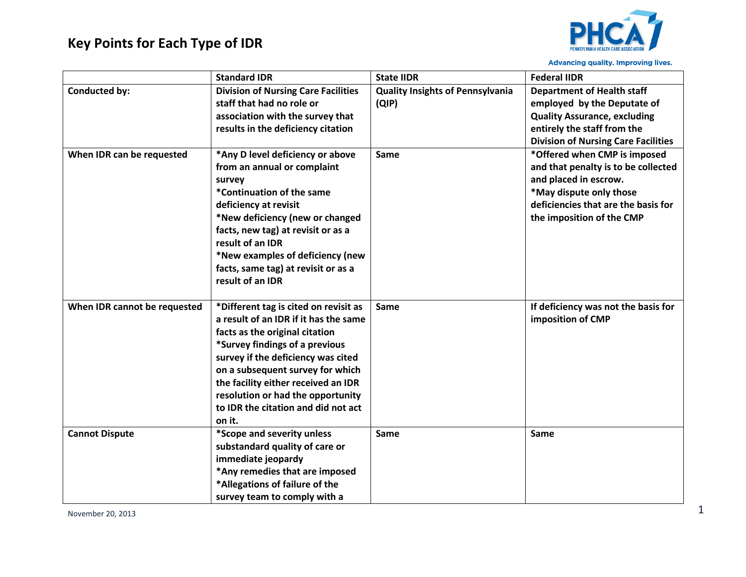

**Advancing quality. Improving lives.** 

|                              | <b>Standard IDR</b>                                                                                                                                                                                                                                                                                                                                       | <b>State IIDR</b>                                | <b>Federal IIDR</b>                                                                                                                                                                         |
|------------------------------|-----------------------------------------------------------------------------------------------------------------------------------------------------------------------------------------------------------------------------------------------------------------------------------------------------------------------------------------------------------|--------------------------------------------------|---------------------------------------------------------------------------------------------------------------------------------------------------------------------------------------------|
| <b>Conducted by:</b>         | <b>Division of Nursing Care Facilities</b><br>staff that had no role or<br>association with the survey that<br>results in the deficiency citation                                                                                                                                                                                                         | <b>Quality Insights of Pennsylvania</b><br>(QIP) | <b>Department of Health staff</b><br>employed by the Deputate of<br><b>Quality Assurance, excluding</b><br>entirely the staff from the<br><b>Division of Nursing Care Facilities</b>        |
| When IDR can be requested    | *Any D level deficiency or above<br>from an annual or complaint<br>survey<br>*Continuation of the same<br>deficiency at revisit<br>*New deficiency (new or changed<br>facts, new tag) at revisit or as a<br>result of an IDR<br>*New examples of deficiency (new<br>facts, same tag) at revisit or as a<br>result of an IDR                               | Same                                             | *Offered when CMP is imposed<br>and that penalty is to be collected<br>and placed in escrow.<br>*May dispute only those<br>deficiencies that are the basis for<br>the imposition of the CMP |
| When IDR cannot be requested | *Different tag is cited on revisit as<br>a result of an IDR if it has the same<br>facts as the original citation<br>*Survey findings of a previous<br>survey if the deficiency was cited<br>on a subsequent survey for which<br>the facility either received an IDR<br>resolution or had the opportunity<br>to IDR the citation and did not act<br>on it. | Same                                             | If deficiency was not the basis for<br>imposition of CMP                                                                                                                                    |
| <b>Cannot Dispute</b>        | *Scope and severity unless<br>substandard quality of care or<br>immediate jeopardy<br>*Any remedies that are imposed<br>*Allegations of failure of the<br>survey team to comply with a                                                                                                                                                                    | Same                                             | Same                                                                                                                                                                                        |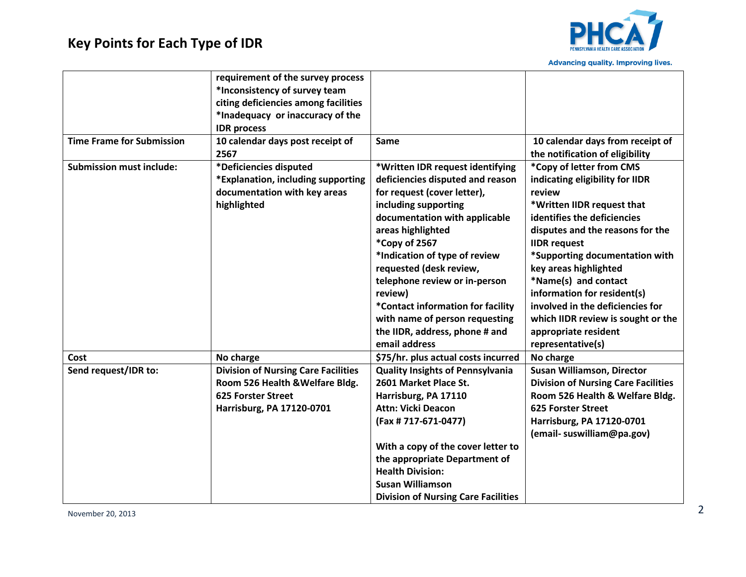

**Advancing quality. Improving lives.** 

|                                  | requirement of the survey process          |                                            |                                            |
|----------------------------------|--------------------------------------------|--------------------------------------------|--------------------------------------------|
|                                  | *Inconsistency of survey team              |                                            |                                            |
|                                  | citing deficiencies among facilities       |                                            |                                            |
|                                  | *Inadequacy or inaccuracy of the           |                                            |                                            |
|                                  | <b>IDR</b> process                         |                                            |                                            |
| <b>Time Frame for Submission</b> | 10 calendar days post receipt of           | Same                                       | 10 calendar days from receipt of           |
|                                  | 2567                                       |                                            | the notification of eligibility            |
| <b>Submission must include:</b>  | *Deficiencies disputed                     | *Written IDR request identifying           | *Copy of letter from CMS                   |
|                                  | *Explanation, including supporting         | deficiencies disputed and reason           | indicating eligibility for IIDR            |
|                                  | documentation with key areas               | for request (cover letter),                | review                                     |
|                                  | highlighted                                | including supporting                       | *Written IIDR request that                 |
|                                  |                                            | documentation with applicable              | identifies the deficiencies                |
|                                  |                                            | areas highlighted                          | disputes and the reasons for the           |
|                                  |                                            | *Copy of 2567                              | <b>IIDR</b> request                        |
|                                  |                                            | *Indication of type of review              | *Supporting documentation with             |
|                                  |                                            | requested (desk review,                    | key areas highlighted                      |
|                                  |                                            | telephone review or in-person              | *Name(s) and contact                       |
|                                  |                                            | review)                                    | information for resident(s)                |
|                                  |                                            | *Contact information for facility          | involved in the deficiencies for           |
|                                  |                                            | with name of person requesting             | which IIDR review is sought or the         |
|                                  |                                            | the IIDR, address, phone # and             | appropriate resident                       |
|                                  |                                            | email address                              | representative(s)                          |
| Cost                             | No charge                                  | \$75/hr. plus actual costs incurred        | No charge                                  |
| Send request/IDR to:             | <b>Division of Nursing Care Facilities</b> | <b>Quality Insights of Pennsylvania</b>    | <b>Susan Williamson, Director</b>          |
|                                  | Room 526 Health & Welfare Bldg.            | 2601 Market Place St.                      | <b>Division of Nursing Care Facilities</b> |
|                                  | <b>625 Forster Street</b>                  | Harrisburg, PA 17110                       | Room 526 Health & Welfare Bldg.            |
|                                  | Harrisburg, PA 17120-0701                  | <b>Attn: Vicki Deacon</b>                  | <b>625 Forster Street</b>                  |
|                                  |                                            | (Fax # 717-671-0477)                       | Harrisburg, PA 17120-0701                  |
|                                  |                                            |                                            | (email- suswilliam@pa.gov)                 |
|                                  |                                            | With a copy of the cover letter to         |                                            |
|                                  |                                            | the appropriate Department of              |                                            |
|                                  |                                            | <b>Health Division:</b>                    |                                            |
|                                  |                                            | <b>Susan Williamson</b>                    |                                            |
|                                  |                                            | <b>Division of Nursing Care Facilities</b> |                                            |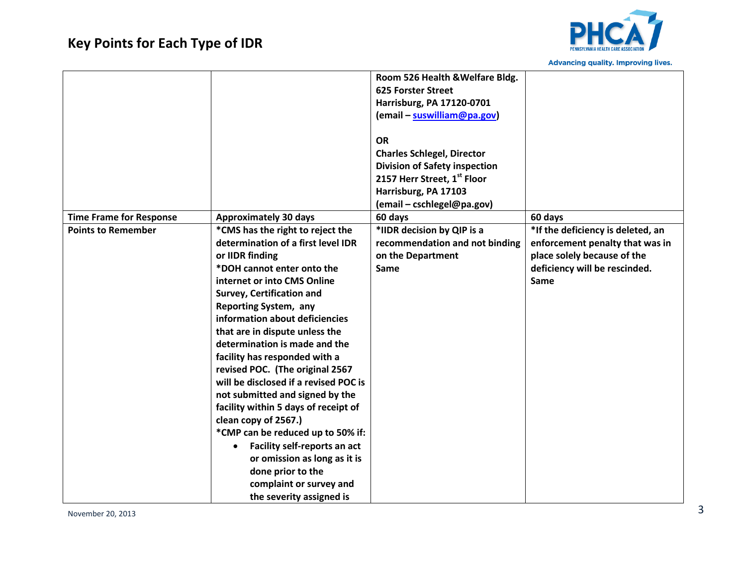

**Advancing quality. Improving lives.** 

|                                |                                           | Room 526 Health & Welfare Bldg.      |                                   |
|--------------------------------|-------------------------------------------|--------------------------------------|-----------------------------------|
|                                |                                           | <b>625 Forster Street</b>            |                                   |
|                                |                                           | Harrisburg, PA 17120-0701            |                                   |
|                                |                                           | (email - suswilliam@pa.gov)          |                                   |
|                                |                                           |                                      |                                   |
|                                |                                           | <b>OR</b>                            |                                   |
|                                |                                           | <b>Charles Schlegel, Director</b>    |                                   |
|                                |                                           | <b>Division of Safety inspection</b> |                                   |
|                                |                                           | 2157 Herr Street, 1st Floor          |                                   |
|                                |                                           | Harrisburg, PA 17103                 |                                   |
|                                |                                           | (email - cschlegel@pa.gov)           |                                   |
| <b>Time Frame for Response</b> | <b>Approximately 30 days</b>              | 60 days                              | 60 days                           |
| <b>Points to Remember</b>      | *CMS has the right to reject the          | *IIDR decision by QIP is a           | *If the deficiency is deleted, an |
|                                | determination of a first level IDR        | recommendation and not binding       | enforcement penalty that was in   |
|                                | or IIDR finding                           | on the Department                    | place solely because of the       |
|                                | *DOH cannot enter onto the                | Same                                 | deficiency will be rescinded.     |
|                                | internet or into CMS Online               |                                      | Same                              |
|                                | <b>Survey, Certification and</b>          |                                      |                                   |
|                                | Reporting System, any                     |                                      |                                   |
|                                | information about deficiencies            |                                      |                                   |
|                                | that are in dispute unless the            |                                      |                                   |
|                                | determination is made and the             |                                      |                                   |
|                                | facility has responded with a             |                                      |                                   |
|                                | revised POC. (The original 2567           |                                      |                                   |
|                                | will be disclosed if a revised POC is     |                                      |                                   |
|                                | not submitted and signed by the           |                                      |                                   |
|                                | facility within 5 days of receipt of      |                                      |                                   |
|                                | clean copy of 2567.)                      |                                      |                                   |
|                                | *CMP can be reduced up to 50% if:         |                                      |                                   |
|                                | Facility self-reports an act<br>$\bullet$ |                                      |                                   |
|                                | or omission as long as it is              |                                      |                                   |
|                                | done prior to the                         |                                      |                                   |
|                                | complaint or survey and                   |                                      |                                   |
|                                | the severity assigned is                  |                                      |                                   |